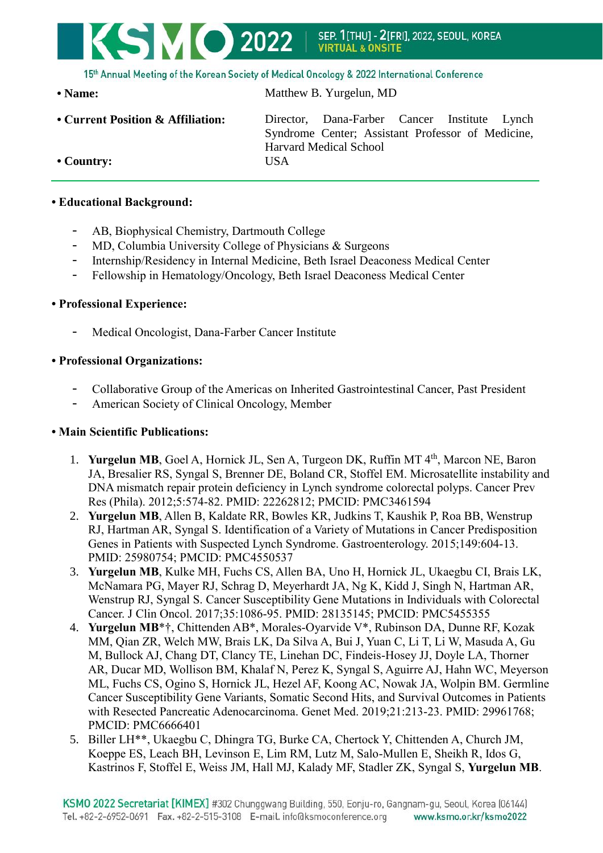# 15th Annual Meeting of the Korean Society of Medical Oncology & 2022 International Conference

• Name: Matthew B. Yurgelun, MD

**VIRTUAL & ONSITE** 

SEP. 1[THU] - 2[FRI], 2022, SEOUL, KOREA

**• Current Position & Affiliation:** Director, Dana-Farber Cancer Institute Lynch Syndrome Center; Assistant Professor of Medicine, Harvard Medical School **• Country:** USA

## **• Educational Background:**

- AB, Biophysical Chemistry, Dartmouth College

KSMO 2022

- MD, Columbia University College of Physicians & Surgeons
- Internship/Residency in Internal Medicine, Beth Israel Deaconess Medical Center
- Fellowship in Hematology/Oncology, Beth Israel Deaconess Medical Center

#### **• Professional Experience:**

Medical Oncologist, Dana-Farber Cancer Institute

## **• Professional Organizations:**

- Collaborative Group of the Americas on Inherited Gastrointestinal Cancer, Past President
- American Society of Clinical Oncology, Member

# **• Main Scientific Publications:**

- 1. **Yurgelun MB**, Goel A, Hornick JL, Sen A, Turgeon DK, Ruffin MT 4<sup>th</sup>, Marcon NE, Baron JA, Bresalier RS, Syngal S, Brenner DE, Boland CR, Stoffel EM. Microsatellite instability and DNA mismatch repair protein deficiency in Lynch syndrome colorectal polyps. Cancer Prev Res (Phila). 2012;5:574-82. PMID: 22262812; PMCID: PMC3461594
- 2. **Yurgelun MB**, Allen B, Kaldate RR, Bowles KR, Judkins T, Kaushik P, Roa BB, Wenstrup RJ, Hartman AR, Syngal S. Identification of a Variety of Mutations in Cancer Predisposition Genes in Patients with Suspected Lynch Syndrome. Gastroenterology. 2015;149:604-13. PMID: 25980754; PMCID: PMC4550537
- 3. **Yurgelun MB**, Kulke MH, Fuchs CS, Allen BA, Uno H, Hornick JL, Ukaegbu CI, Brais LK, McNamara PG, Mayer RJ, Schrag D, Meyerhardt JA, Ng K, Kidd J, Singh N, Hartman AR, Wenstrup RJ, Syngal S. Cancer Susceptibility Gene Mutations in Individuals with Colorectal Cancer. J Clin Oncol. 2017;35:1086-95. PMID: 28135145; PMCID: PMC5455355
- 4. **Yurgelun MB**\*†, Chittenden AB\*, Morales-Oyarvide V\*, Rubinson DA, Dunne RF, Kozak MM, Qian ZR, Welch MW, Brais LK, Da Silva A, Bui J, Yuan C, Li T, Li W, Masuda A, Gu M, Bullock AJ, Chang DT, Clancy TE, Linehan DC, Findeis-Hosey JJ, Doyle LA, Thorner AR, Ducar MD, Wollison BM, Khalaf N, Perez K, Syngal S, Aguirre AJ, Hahn WC, Meyerson ML, Fuchs CS, Ogino S, Hornick JL, Hezel AF, Koong AC, Nowak JA, Wolpin BM. Germline Cancer Susceptibility Gene Variants, Somatic Second Hits, and Survival Outcomes in Patients with Resected Pancreatic Adenocarcinoma. Genet Med. 2019;21:213-23. PMID: 29961768; PMCID: PMC6666401
- 5. Biller LH\*\*, Ukaegbu C, Dhingra TG, Burke CA, Chertock Y, Chittenden A, Church JM, Koeppe ES, Leach BH, Levinson E, Lim RM, Lutz M, Salo-Mullen E, Sheikh R, Idos G, Kastrinos F, Stoffel E, Weiss JM, Hall MJ, Kalady MF, Stadler ZK, Syngal S, **Yurgelun MB**.